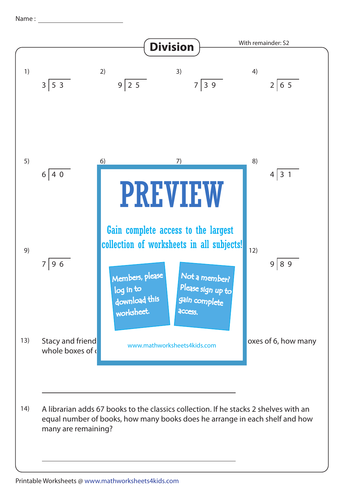